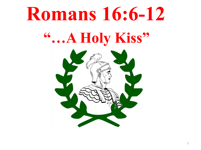# **Romans 16:6-12 "…A Holy Kiss"**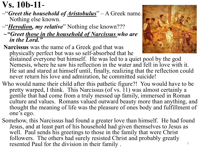# **Vs. 10b-11**-

- ~"*Greet the household of Aristobulus*" A Greek name. Nothing else known.
- ~"*Herodion, my relative*" Nothing else known???
- *~"Greet those in the household of Narcissus who are in the Lord."*
- **Narcissus** was the name of a Greek god that was physically perfect but was so self-absorbed that he



distained everyone but himself. He was led to a quiet pool by the god Nemesis, where he saw his reflection in the water and fell in love with it. He sat and stared at himself until, finally, realizing that the reflection could never return his love and admiration, he committed suicide!

- Who would name their child after this pathetic figure?! You would have to be pretty warped, I think. This Narcissus (of vs. 11) was almost certainly a gentile that had come from a truly messed up family, immersed in Roman culture and values. Romans valued outward beauty more than anything, and thought the meaning of life was the pleasure of ones body and fulfillment of one's ego.
- Somehow, this Narcissus had found a greater love than himself. He had found Jesus, and at least part of his household had given themselves to Jesus as well. Paul sends his greetings to those in the family that were Christ followers. The others had surely resisted Christ and probably greatly resented Paul for the division in their family .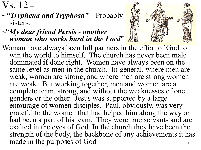$Vs. 12 -$ 

*~"Tryphena and Tryphosa"* – Probably sisters.

#### **~**"*My dear friend Persis* - *another woman who works hard in the Lord*"

Woman have always been full partners in the effort of God to win the world to himself. The church has never been male dominated if done right. Women have always been on the same level as men in the church. In general, where men are weak, women are strong, and where men are strong women are weak. But working together, men and women are a complete team, strong, and without the weaknesses of one genders or the other. Jesus was supported by a large entourage of women disciples. Paul, obviously, was very grateful to the women that had helped him along the way or had been a part of his team. They were true servants and are exalted in the eyes of God. In the church they have been the strength of the body, the backbone of any achievements it has made in the purposes of God  $\frac{3}{3}$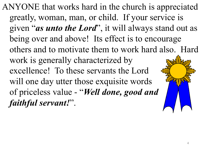ANYONE that works hard in the church is appreciated greatly, woman, man, or child. If your service is given "*as unto the Lord*", it will always stand out as being over and above! Its effect is to encourage others and to motivate them to work hard also. Hard work is generally characterized by excellence! To these servants the Lord will one day utter those exquisite words of priceless value - "*Well done, good and faithful servant!*".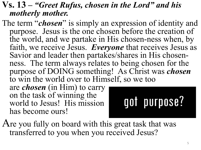### **Vs. 13 –** *"Greet Rufus, chosen in the Lord" and his motherly mother.*

The term "*chosen*" is simply an expression of identity and purpose. Jesus is the one chosen before the creation of the world, and we partake in His chosen-ness when, by faith, we receive Jesus. *Everyone* that receives Jesus as Savior and leader then partakes/shares in His chosen- ness. The term always relates to being chosen for the purpose of DOING something! As Christ was *chosen* to win the world over to Himself, so we too

are *chosen* (in Him) to carry on the task of winning the world to Jesus! His mission is now has become ours!



Are you fully on board with this great task that was transferred to you when you received Jesus?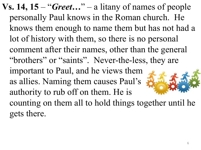**Vs. 14, 15** – "*Greet…*" – a litany of names of people personally Paul knows in the Roman church. He knows them enough to name them but has not had a lot of history with them, so there is no personal comment after their names, other than the general "brothers" or "saints". Never-the-less, they are important to Paul, and he views them as allies. Naming them causes Paul's authority to rub off on them. He is counting on them all to hold things together until he gets there.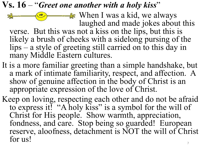## **Vs. 16** – "*Greet one another with a holy kiss*"

**EXECUTE:** When I was a kid, we always  $\partial\!\!\!\!\int_{0}^{\infty}$  $\bigcirc$ laughed and made jokes about this verse. But this was not a kiss on the lips, but this is likely a brush of cheeks with a sidelong pursing of the lips – a style of greeting still carried on to this day in many Middle Eastern cultures.

- It is a more familiar greeting than a simple handshake, but a mark of intimate familiarity, respect, and affection. A show of genuine affection in the body of Christ is an appropriate expression of the love of Christ.
- Keep on loving, respecting each other and do not be afraid to express it! "A holy kiss" is a symbol for the will of Christ for His people. Show warmth, appreciation, fondness, and care. Stop being so guarded! European reserve, aloofness, detachment is NOT the will of Christ for us!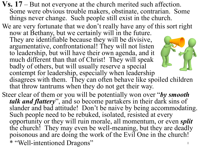- **Vs. 17**  But not everyone at the church merited such affection. Some were obvious trouble makers, obstinate, contrarian. Some things never change. Such people still exist in the church.
- We are very fortunate that we don't really have any of this sort right now at Bethany, but we certainly will in the future. They are identifiable because they will be divisive, argumentative, confrontational! They will not listen to leadership, but will have their own agenda, and it much different than that of Christ! They will speak badly of others, but will usually reserve a special contempt for leadership, especially when leadership

disagrees with them. They can often behave like spoiled children that throw tantrums when they do not get their way.

Steer clear of them or you will be potentially won over "*by smooth talk and flattery*", and so become partakers in their dark sins of slander and bad attitude! Don't be naive by being accommodating. Such people need to be rebuked, isolated, resisted at every opportunity or they will ruin morale, all momentum, or even *split* the church! They may even be well-meaning, but they are deadly poisonous and are doing the work of the Evil One in the church! \* "Well-intentioned Dragons" <sup>8</sup>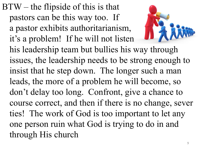BTW – the flipside of this is that pastors can be this way too. If a pastor exhibits authoritarianism, it's a problem! If he will not listen his leadership team but bullies his way through issues, the leadership needs to be strong enough to insist that he step down. The longer such a man leads, the more of a problem he will become, so don't delay too long. Confront, give a chance to course correct, and then if there is no change, sever ties! The work of God is too important to let any one person ruin what God is trying to do in and through His church